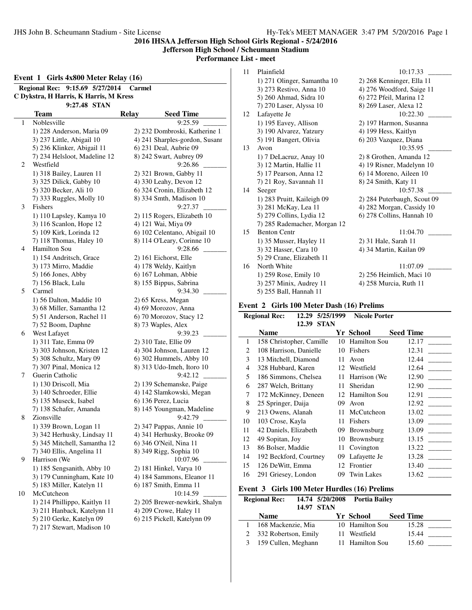# **Jefferson High School / Scheumann Stadium**

**Performance List - meet**

|    | 9:15.69 5/27/2014<br><b>Regional Rec:</b>               | Carmel       |                                                       |
|----|---------------------------------------------------------|--------------|-------------------------------------------------------|
|    | C Dykstra, H Harris, K Harris, M Kress                  |              |                                                       |
|    | 9:27.48 STAN                                            |              |                                                       |
|    | Team                                                    | <b>Relay</b> | <b>Seed Time</b>                                      |
| 1  | Noblesville                                             |              | 9:25.59                                               |
|    | 1) 228 Anderson, Maria 09                               |              | 2) 232 Dombroski, Katherine 1                         |
|    | 3) 237 Little, Abigail 10                               |              | 4) 241 Sharples-gordon, Susanr                        |
|    | 5) 236 Klinker, Abigail 11                              |              | 6) 231 Deal, Aubrie 09                                |
|    | 7) 234 Helsloot, Madeline 12                            |              | 8) 242 Swart, Aubrey 09                               |
| 2  | Westfield                                               |              | 9:26.86                                               |
|    | 1) 318 Bailey, Lauren 11                                |              | 2) 321 Brown, Gabby 11                                |
|    | 3) 325 Dilick, Gabby 10                                 |              | 4) 330 Leahy, Devon 12                                |
|    | 5) 320 Becker, Ali 10                                   |              | 6) 324 Cronin, Elizabeth 12                           |
|    | 7) 333 Ruggles, Molly 10                                |              | 8) 334 Smth, Madison 10                               |
| 3  | Fishers                                                 |              | 9:27.37                                               |
|    |                                                         |              |                                                       |
|    | 1) 110 Lapsley, Kamya 10<br>3) 116 Scanlon, Hope 12     |              | 2) 115 Rogers, Elizabeth 10<br>4) 121 Wai, Miya 09    |
|    | 5) 109 Kirk, Lorinda 12                                 |              | 6) 102 Celentano, Abigail 10                          |
|    | 7) 118 Thomas, Haley 10                                 |              | 8) 114 O'Leary, Corinne 10                            |
| 4  | Hamilton Sou                                            |              | 9:28.66                                               |
|    | 1) 154 Andritsch, Grace                                 |              | 2) 161 Eichorst, Elle                                 |
|    | 3) 173 Mirro, Maddie                                    |              | 4) 178 Weldy, Kaitlyn                                 |
|    | 5) 166 Jones, Abby                                      |              | 6) 167 Lohman, Abbie                                  |
|    | 7) 156 Black, Lulu                                      |              | 8) 155 Bippus, Sabrina                                |
| 5  | Carmel                                                  |              | 9:34.30                                               |
|    | 1) 56 Dalton, Maddie 10                                 |              | 2) 65 Kress, Megan                                    |
|    | 3) 68 Miller, Samantha 12                               |              | 4) 69 Morozov, Anna                                   |
|    | 5) 51 Anderson, Rachel 11                               |              | 6) 70 Morozov, Stacy 12                               |
|    | 7) 52 Boom, Daphne                                      |              | 8) 73 Waples, Alex                                    |
| 6  | West Lafayet                                            |              | 9:39.23                                               |
|    | 1) 311 Tate, Emma 09                                    |              | 2) 310 Tate, Ellie 09                                 |
|    | 3) 303 Johnson, Kristen 12                              |              | 4) 304 Johnson, Lauren 12                             |
|    | 5) 308 Schultz, Mary 09                                 |              | 6) 302 Hummels, Abby 10                               |
|    | 7) 307 Pinal, Monica 12                                 |              | 8) 313 Udo-Imeh, Itoro 10                             |
| 7  | Guerin Catholic                                         |              | 9:42.12                                               |
|    | 1) 130 Driscoll, Mia                                    |              | 2) 139 Schemanske, Paige                              |
|    | 3) 140 Schroeder, Ellie                                 |              | 4) 142 Slamkowski, Megan                              |
|    | 5) 135 Museck, Isabel                                   |              | 6) 136 Perez, Lucia                                   |
|    | 7) 138 Schafer, Amanda                                  |              | 8) 145 Youngman, Madeline                             |
| 8  | Zionsville                                              |              | 9:42.79                                               |
|    | 1) 339 Brown, Logan 11                                  |              | 2) 347 Pappas, Annie 10                               |
|    | 3) 342 Herhusky, Lindsay 11                             |              | 4) 341 Herhusky, Brooke 09                            |
|    | 5) 345 Mitchell, Samantha 12                            |              | 6) 346 O'Neil, Nina 11                                |
|    | 7) 340 Ellis, Angelina 11                               |              | 8) 349 Rigg, Sophia 10                                |
| 9  | Harrison (We                                            |              | 10:07.96                                              |
|    | 1) 185 Sengsanith, Abby 10                              |              | 2) 181 Hinkel, Varya 10                               |
|    | 3) 179 Cunningham, Kate 10                              |              | 4) 184 Sammons, Eleanor 11                            |
|    | 5) 183 Miller, Katelyn 11                               |              | 6) 187 Smith, Emma 11                                 |
| 10 |                                                         |              |                                                       |
|    | McCutcheon                                              |              | 10:14.59                                              |
|    | 1) 214 Phillippo, Kaitlyn 11                            |              | 2) 205 Brewer-newkirk, Shalyn                         |
|    |                                                         |              |                                                       |
|    | 3) 211 Hanback, Katelynn 11<br>5) 210 Gerke, Katelyn 09 |              | 4) 209 Crowe, Haley 11<br>6) 215 Pickell, Katelynn 09 |

| 11 | Plainfield                   | 10:17.33                    |
|----|------------------------------|-----------------------------|
|    | 1) 271 Olinger, Samantha 10  | 2) 268 Kenninger, Ella 11   |
|    | 3) 273 Restivo, Anna 10      | 4) 276 Woodford, Saige 11   |
|    | 5) 260 Ahmad, Sidra 10       | 6) 272 Pfeil, Marina 12     |
|    | 7) 270 Laser, Alyssa 10      | 8) 269 Laser, Alexa 12      |
| 12 | Lafayette Je                 | 10:22.30                    |
|    | 1) 195 Eavey, Allison        | 2) 197 Harmon, Susanna      |
|    | 3) 190 Alvarez, Yatzury      | 4) 199 Hess, Kaitlyn        |
|    | 5) 191 Bangert, Olivia       | 6) 203 Vazquez, Diana       |
| 13 | Avon                         | 10:35.95                    |
|    | 1) 7 DeLacruz, Anay 10       | 2) 8 Grothen, Amanda 12     |
|    | 3) 12 Martin, Hallie 11      | 4) 19 Risner, Madelynn 10   |
|    | 5) 17 Pearson, Anna 12       | 6) 14 Moreno, Aileen 10     |
|    | 7) 21 Roy, Savannah 11       | 8) 24 Smith, Katy 11        |
| 14 | Seeger                       | 10:57.38                    |
|    | 1) 283 Pruitt, Kaileigh 09   | 2) 284 Puterbaugh, Scout 09 |
|    | 3) 281 McKay, Lea 11         | 4) 282 Morgan, Cassidy 10   |
|    | 5) 279 Collins, Lydia 12     | 6) 278 Collins, Hannah 10   |
|    | 7) 285 Rademacher, Morgan 12 |                             |
| 15 | <b>Benton Centr</b>          | 11:04.70                    |
|    | 1) 35 Musser, Hayley 11      | 2) 31 Hale, Sarah 11        |
|    | 3) 32 Hasser, Cara 10        | 4) 34 Martin, Kailan 09     |
|    | 5) 29 Crane, Elizabeth 11    |                             |
| 16 | North White                  | 11:07.09                    |
|    | 1) 259 Rose, Emily 10        | 2) 256 Heimlich, Maci 10    |
|    | 3) 257 Minix, Audrey 11      | 4) 258 Murcia, Ruth 11      |
|    | 5) 255 Ball, Hannah 11       |                             |

# **Event 2 Girls 100 Meter Dash (16) Prelims**

|    | <b>Regional Rec:</b><br>12.29 | 5/25/1999   | <b>Nicole Porter</b> |                  |
|----|-------------------------------|-------------|----------------------|------------------|
|    | 12.39                         | <b>STAN</b> |                      |                  |
|    | Name                          |             | Yr School            | <b>Seed Time</b> |
| 1  | 158 Christopher, Camille      | 10          | Hamilton Sou         | 12.17            |
| 2  | 108 Harrison, Danielle        | 10          | Fishers              | 12.31            |
| 3  | 13 Mitchell, Diamond          | 11          | Avon                 | 12.44            |
| 4  | 328 Hubbard, Karen            | 12          | Westfield            | 12.64            |
| 5. | 186 Simmons, Chelsea          | 11          | Harrison (We         | 12.90            |
| 6  | 287 Welch, Brittany           | 11          | Sheridan             | 12.90            |
| 7  | 172 McKinney, Deneen          | 12          | <b>Hamilton Sou</b>  | 12.91            |
| 8  | 25 Springer, Daija            | 09          | Avon                 | 12.92            |
| 9  | 213 Owens, Alanah             | 11          | McCutcheon           | 13.02            |
| 10 | 103 Crose, Kayla              | 11          | Fishers              | 13.09            |
| 11 | 42 Daniels, Elizabeth         | 09          | <b>Brownsburg</b>    | 13.09            |
| 12 | 49 Sopitan, Joy               | 10          | <b>Brownsburg</b>    | 13.15            |
| 13 | 86 Bolser, Maddie             | 11          | Covington            | 13.22            |
| 14 | 192 Beckford, Courtney        | 09          | Lafayette Je         | 13.28            |
| 15 | 126 DeWitt, Emma              |             | 12 Frontier          | 13.40            |
| 16 | 291 Griesey, London           | 09          | <b>Twin Lakes</b>    | 13.62            |
|    |                               |             |                      |                  |

# **Event 3 Girls 100 Meter Hurdles (16) Prelims**

| <b>Regional Rec:</b>  | 14.74 5/20/2008<br><b>14.97 STAN</b> | Portia Bailev   |                  |  |
|-----------------------|--------------------------------------|-----------------|------------------|--|
| Name                  |                                      | Yr School       | <b>Seed Time</b> |  |
| 168 Mackenzie, Mia    |                                      | 10 Hamilton Sou | 15.28            |  |
| 332 Robertson, Emily  |                                      | Westfield       | 15.44            |  |
| 3 159 Cullen, Meghann |                                      | 11 Hamilton Sou | 15.60            |  |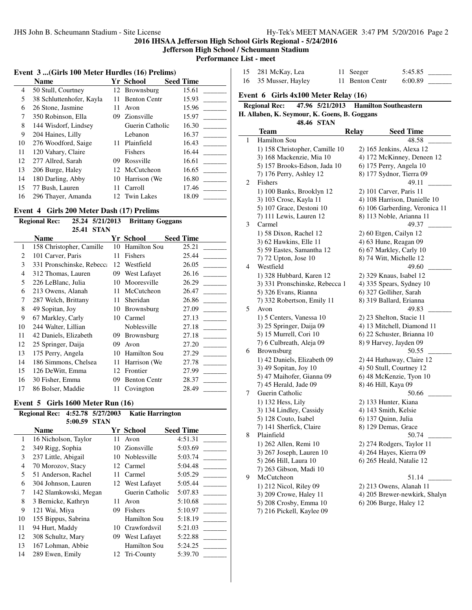**Jefferson High School / Scheumann Stadium**

**Performance List - meet**  $\overline{\phantom{a}}$ 

# **Event 3 ...(Girls 100 Meter Hurdles (16) Prelims)**

|    | <b>Name</b>              |    | Yr School           | <b>Seed Time</b> |
|----|--------------------------|----|---------------------|------------------|
| 4  | 50 Stull, Courtney       |    | 12 Brownsburg       | 15.61            |
| 5  | 38 Schluttenhofer, Kayla | 11 | <b>Benton Centr</b> | 15.93            |
| 6  | 26 Stone, Jasmine        | 11 | Avon                | 15.96            |
| 7  | 350 Robinson, Ella       | 09 | Zionsville          | 15.97            |
| 8  | 144 Wisdorf, Lindsey     |    | Guerin Catholic     | 16.30            |
| 9  | 204 Haines, Lilly        |    | Lebanon             | 16.37            |
| 10 | 276 Woodford, Saige      | 11 | Plainfield          | 16.43            |
| 11 | 120 Vahary, Claire       |    | Fishers             | 16.44            |
| 12 | 277 Allred, Sarah        | 09 | Rossville           | 16.61            |
| 13 | 206 Burge, Haley         |    | 12 McCutcheon       | 16.65            |
| 14 | 180 Darling, Abby        |    | 10 Harrison (We     | 16.80            |
| 15 | 77 Bush, Lauren          | 11 | Carroll             | 17.46            |
| 16 | 296 Thayer, Amanda       |    | 12 Twin Lakes       | 18.09            |

# **Event 4 Girls 200 Meter Dash (17) Prelims**

| <b>Regional Rec:</b><br>5/21/2013<br>25.24 |                           |    | <b>Brittany Goggans</b> |                  |
|--------------------------------------------|---------------------------|----|-------------------------|------------------|
|                                            | <b>STAN</b><br>25.41      |    |                         |                  |
|                                            | <b>Name</b>               |    | Yr School               | <b>Seed Time</b> |
| 1                                          | 158 Christopher, Camille  | 10 | <b>Hamilton Sou</b>     | 25.21            |
| 2                                          | 101 Carver, Paris         | 11 | Fishers                 | 25.44            |
| 3                                          | 331 Pronschinske, Rebecca | 12 | Westfield               | 26.05            |
| 4                                          | 312 Thomas, Lauren        | 09 | West Lafayet            | 26.16            |
| 5                                          | 226 LeBlanc, Julia        | 10 | Mooresville             | 26.29            |
| 6                                          | 213 Owens, Alanah         | 11 | McCutcheon              | 26.47            |
| 7                                          | 287 Welch, Brittany       | 11 | Sheridan                | 26.86            |
| 8                                          | 49 Sopitan, Joy           | 10 | <b>Brownsburg</b>       | 27.09            |
| 9                                          | 67 Markley, Carly         | 10 | Carmel                  | 27.13            |
| 10                                         | 244 Walter, Lillian       |    | Noblesville             | 27.18            |
| 11                                         | 42 Daniels, Elizabeth     | 09 | Brownsburg              | 27.18            |
| 12                                         | 25 Springer, Daija        | 09 | Avon                    | 27.20            |
| 13                                         | 175 Perry, Angela         | 10 | <b>Hamilton Sou</b>     | 27.29            |
| 14                                         | 186 Simmons, Chelsea      | 11 | Harrison (We            | 27.78            |
| 15                                         | 126 DeWitt, Emma          | 12 | Frontier                | 27.99            |
| 16                                         | 30 Fisher, Emma           | 09 | <b>Benton Centr</b>     | 28.37            |
| 17                                         | 86 Bolser, Maddie         | 11 | Covington               | 28.49            |

# **Event 5 Girls 1600 Meter Run (16)**

| <b>Regional Rec:</b> |                       |         | 4:52.78 5/27/2003 | <b>Katie Harrington</b> |                  |
|----------------------|-----------------------|---------|-------------------|-------------------------|------------------|
|                      |                       | 5:00.59 | <b>STAN</b>       |                         |                  |
|                      | <b>Name</b>           |         |                   | Yr School               | <b>Seed Time</b> |
| 1                    | 16 Nicholson, Taylor  |         | 11                | Avon                    | 4:51.31          |
| 2                    | 349 Rigg, Sophia      |         | 10                | Zionsville              | 5:03.69          |
| 3                    | 237 Little, Abigail   |         |                   | 10 Noblesville          | 5:03.74          |
| $\overline{4}$       | 70 Morozov, Stacy     |         |                   | 12 Carmel               | 5:04.48          |
| 5                    | 51 Anderson, Rachel   |         | 11                | Carmel                  | 5:05.29          |
| 6                    | 304 Johnson, Lauren   |         |                   | 12 West Lafayet         | 5:05.44          |
| 7                    | 142 Slamkowski, Megan |         |                   | Guerin Catholic         | 5:07.83          |
| 8                    | 3 Bernicke, Kathryn   |         | 11                | Avon                    | 5:10.68          |
| 9                    | 121 Wai, Miya         |         | 09                | Fishers                 | 5:10.97          |
| 10                   | 155 Bippus, Sabrina   |         |                   | Hamilton Sou            | 5:18.19          |
| 11                   | 94 Hurt, Maddy        |         | 10                | Crawfordsvil            | 5:21.03          |
| 12                   | 308 Schultz, Mary     |         | 09                | West Lafayet            | 5:22.88          |
| 13                   | 167 Lohman, Abbie     |         |                   | Hamilton Sou            | 5:24.25          |
| 14                   | 289 Ewen, Emily       |         | 12                | Tri-County              | 5:39.70          |
|                      |                       |         |                   |                         |                  |

|         | тар - шесе                                         |      |                              |                                                          |
|---------|----------------------------------------------------|------|------------------------------|----------------------------------------------------------|
| 15      | 281 McKay, Lea                                     | 11 - | Seeger                       | 5:45.85                                                  |
| 16      | 35 Musser, Hayley                                  | 11 - | <b>Benton Centr</b>          | 6:00.89                                                  |
|         |                                                    |      |                              |                                                          |
| Event 6 | Girls 4x100 Meter Relay (16)                       |      |                              |                                                          |
|         | <b>Regional Rec:</b><br>47.96 5/21/2013            |      | <b>Hamilton Southeastern</b> |                                                          |
|         | H. Allaben, K. Seymour, K. Goens, B. Goggans       |      |                              |                                                          |
|         | 48.46 STAN                                         |      |                              |                                                          |
|         | <b>Team</b>                                        |      | <b>Relay</b>                 | <b>Seed Time</b>                                         |
| 1       | <b>Hamilton Sou</b>                                |      |                              | 48.58                                                    |
|         | 1) 158 Christopher, Camille 10                     |      |                              | 2) 165 Jenkins, Alexa 12                                 |
|         | 3) 168 Mackenzie, Mia 10                           |      |                              | 4) 172 McKinney, Deneen 12                               |
|         | 5) 157 Brooks-Edson, Jada 10                       |      |                              | 6) 175 Perry, Angela 10                                  |
|         | 7) 176 Perry, Ashley 12                            |      |                              | 8) 177 Sydnor, Tierra 09                                 |
| 2       | Fishers                                            |      |                              | 49.11                                                    |
|         | 1) 100 Banks, Brooklyn 12                          |      |                              | 2) 101 Carver, Paris 11                                  |
|         | 3) 103 Crose, Kayla 11                             |      |                              | 4) 108 Harrison, Danielle 10                             |
|         | 5) 107 Grace, Destoni 10                           |      |                              | 6) 106 Garberding, Veronica 11                           |
|         | 7) 111 Lewis, Lauren 12                            |      |                              | 8) 113 Noble, Arianna 11                                 |
| 3       | Carmel                                             |      |                              | 49.37                                                    |
|         | 1) 58 Dixon, Rachel 12                             |      |                              | 2) 60 Etgen, Cailyn 12                                   |
|         | 3) 62 Hawkins, Elle 11                             |      |                              | 4) 63 Hune, Reagan 09                                    |
|         | 5) 59 Eastes, Samantha 12                          |      |                              | 6) 67 Markley, Carly 10                                  |
|         | 7) 72 Upton, Jose 10                               |      |                              | 8) 74 Witt, Michelle 12                                  |
| 4       | Westfield                                          |      |                              | 49.60                                                    |
|         | 1) 328 Hubbard, Karen 12                           |      |                              | 2) 329 Knaus, Isabel 12                                  |
|         | 3) 331 Pronschinske, Rebecca 1                     |      |                              | 4) 335 Spears, Sydney 10                                 |
|         | 5) 326 Evans, Rianna                               |      |                              | 6) 327 Golliher, Sarah                                   |
|         | 7) 332 Robertson, Emily 11                         |      |                              | 8) 319 Ballard, Erianna                                  |
| 5       | Avon                                               |      |                              | 49.83                                                    |
|         | 1) 5 Centers, Vanessa 10                           |      |                              | 2) 23 Shelton, Stacie 11                                 |
|         | 3) 25 Springer, Daija 09                           |      |                              | 4) 13 Mitchell, Diamond 11<br>6) 22 Schuster, Brianna 10 |
|         | 5) 15 Murrell, Cori 10<br>7) 6 Culbreath, Aleja 09 |      |                              | 8) 9 Harvey, Jayden 09                                   |
| 6       | Brownsburg                                         |      |                              | 50.55                                                    |
|         | 1) 42 Daniels, Elizabeth 09                        |      |                              |                                                          |
|         | 3) 49 Sopitan, Joy 10                              |      |                              | 2) 44 Hathaway, Claire 12<br>4) 50 Stull, Courtney 12    |
|         | 5) 47 Maihofer, Gianna 09                          |      |                              | 6) 48 McKenzie, Tyon 10                                  |
|         | 7) 45 Herald, Jade 09                              |      | 8) 46 Hill, Kaya 09          |                                                          |
| 7       | Guerin Catholic                                    |      |                              | 50.66                                                    |
|         | 1) 132 Hess, Lily                                  |      | 2) 133 Hunter, Kiana         |                                                          |
|         | 3) 134 Lindley, Cassidy                            |      | 4) 143 Smith, Kelsie         |                                                          |
|         | 5) 128 Couto, Isabel                               |      | 6) 137 Quinn, Julia          |                                                          |
|         | 7) 141 Sherfick, Claire                            |      | 8) 129 Demas, Grace          |                                                          |
| 8       | Plainfield                                         |      |                              | 50.74                                                    |
|         | 1) 262 Allen, Remi 10                              |      |                              | 2) 274 Rodgers, Taylor 11                                |
|         | 3) 267 Joseph, Lauren 10                           |      |                              | 4) 264 Hayes, Kierra 09                                  |
|         | 5) 266 Hill, Laura 10                              |      |                              | 6) 265 Heald, Natalie 12                                 |
|         | 7) 263 Gibson, Madi 10                             |      |                              |                                                          |
| 9       | McCutcheon                                         |      |                              | 51.14                                                    |
|         | 1) 212 Nicol, Riley 09                             |      |                              | 2) 213 Owens, Alanah 11                                  |
|         | 3) 209 Crowe, Haley 11                             |      |                              | 4) 205 Brewer-newkirk, Shalyn                            |
|         | 5) 208 Crosby, Emma 10                             |      |                              | 6) 206 Burge, Haley 12                                   |
|         |                                                    |      |                              |                                                          |

7) 216 Pickell, Kaylee 09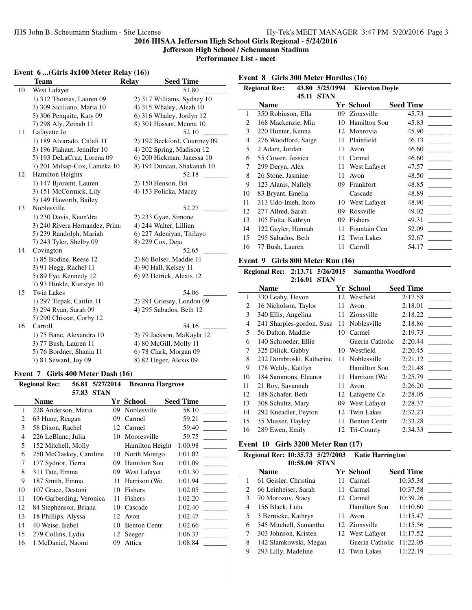**Jefferson High School / Scheumann Stadium**

**Performance List - meet**

 $\overline{a}$ 

# **Event 6 ...**(Girls 4x100 Meter Relay (16))

|    | Team                           | <b>Relay</b> | <b>Seed Time</b>             |
|----|--------------------------------|--------------|------------------------------|
| 10 | West Lafayet                   |              | 51.80                        |
|    | 1) 312 Thomas, Lauren 09       |              | 2) 317 Williams, Sydney 10   |
|    | 3) 309 Siciliano, Maria 10     |              | 4) 315 Whaley, Aleah 10      |
|    | 5) 306 Penquite, Katy 09       |              | 6) 316 Whaley, Jordyn 12     |
|    | 7) 298 Aly, Zeinab 11          |              | 8) 301 Hassan, Menna 10      |
| 11 | Lafayette Je                   |              | 52.10                        |
|    | 1) 189 Alvarado, Citlali 11    |              | 2) 192 Beckford, Courtney 09 |
|    | 3) 196 Flahaut, Jennifer 10    |              | 4) 202 Spring, Madison 12    |
|    | 5) 193 DeLaCruz, Lorena 09     |              | 6) 200 Hickman, Janessa 10   |
|    | 7) 201 Milsap-Cox, Lameka 10   |              | 8) 194 Duncan, Shakanah 10   |
| 12 | <b>Hamilton Heights</b>        |              | 52.18                        |
|    | 1) 147 Bjoromt, Lauren         |              | 2) 150 Henson, Bri           |
|    | 3) 151 McCormick, Lily         |              | 4) 153 Policka, Macey        |
|    | 5) 149 Haworth, Bailey         |              |                              |
| 13 | Noblesville                    |              | 52.27                        |
|    | 1) 230 Davis, Keon'dra         |              | 2) 233 Gyan, Simone          |
|    | 3) 240 Rivera Hernandez, Prima |              | 4) 244 Walter, Lillian       |
|    | 5) 239 Randolph, Mariah        |              | 6) 227 Adeniyan, Titilayo    |
|    | 7) 243 Tyler, Shelby 09        |              | 8) 229 Cox, Deja             |
| 14 | Covington                      |              | 52.65                        |
|    | 1) 85 Bodine, Reese 12         |              | 2) 86 Bolser, Maddie 11      |
|    | 3) 91 Hegg, Rachel 11          |              | 4) 90 Hall, Kelsey 11        |
|    | 5) 89 Fye, Kennedy 12          |              | 6) 92 Hetrick, Alexis 12     |
|    | 7) 93 Hinkle, Kierstyn 10      |              |                              |
| 15 | <b>Twin Lakes</b>              |              | 54.06                        |
|    | 1) 297 Tirpak, Caitlin 11      |              | 2) 291 Griesey, London 09    |
|    | 3) 294 Ryan, Sarah 09          |              | 4) 295 Sabados, Beth 12      |
|    | 5) 290 Chiszar, Corby 12       |              |                              |
| 16 | Carroll                        |              | 54.16                        |
|    | 1) 75 Bane, Alexandra 10       |              | 2) 79 Jackson, MaKayla 12    |
|    | 3) 77 Bush, Lauren 11          |              | 4) 80 McGill, Molly 11       |
|    | 5) 76 Bordner, Shania 11       |              | 6) 78 Clark, Morgan 09       |
|    | 7) 81 Seward, Joy 09           |              | 8) 82 Unger, Alexis 09       |

#### **Event 7 Girls 400 Meter Dash (16)**

| <b>Regional Rec:</b> |       |                                                                                                                                                                                                                                  | <b>Breanna Hargrove</b>                                                                                                    |                                |                  |
|----------------------|-------|----------------------------------------------------------------------------------------------------------------------------------------------------------------------------------------------------------------------------------|----------------------------------------------------------------------------------------------------------------------------|--------------------------------|------------------|
|                      | 57.83 |                                                                                                                                                                                                                                  |                                                                                                                            |                                |                  |
| <b>Name</b>          |       |                                                                                                                                                                                                                                  |                                                                                                                            |                                | <b>Seed Time</b> |
|                      |       |                                                                                                                                                                                                                                  | 09                                                                                                                         | Noblesville                    | 58.10            |
|                      |       |                                                                                                                                                                                                                                  | 09                                                                                                                         | Carmel                         | 59.21            |
|                      |       |                                                                                                                                                                                                                                  | 12                                                                                                                         | Carmel                         | 59.40            |
|                      |       |                                                                                                                                                                                                                                  | 10                                                                                                                         | Mooresville                    | 59.75            |
|                      |       |                                                                                                                                                                                                                                  |                                                                                                                            | Hamilton Height                | 1:00.98          |
|                      |       |                                                                                                                                                                                                                                  | 10                                                                                                                         | North Montgo                   | 1:01.02          |
|                      |       |                                                                                                                                                                                                                                  | 09                                                                                                                         | <b>Hamilton Sou</b>            | 1:01.09          |
|                      |       |                                                                                                                                                                                                                                  | 09                                                                                                                         | West Lafayet                   | 1:01.30          |
|                      |       |                                                                                                                                                                                                                                  | 11                                                                                                                         | Harrison (We                   | 1:01.94          |
|                      |       |                                                                                                                                                                                                                                  | 10                                                                                                                         | Fishers                        | 1:02.05          |
|                      |       |                                                                                                                                                                                                                                  | 11                                                                                                                         | Fishers                        | 1:02.20          |
|                      |       |                                                                                                                                                                                                                                  | 10                                                                                                                         | Cascade                        | 1:02.40          |
|                      |       |                                                                                                                                                                                                                                  | 12                                                                                                                         | Avon                           | 1:02.47          |
|                      |       |                                                                                                                                                                                                                                  | 10                                                                                                                         | <b>Benton Centr</b>            | 1:02.66          |
|                      |       |                                                                                                                                                                                                                                  | 12                                                                                                                         | Seeger                         | 1:06.33          |
|                      |       |                                                                                                                                                                                                                                  | 09                                                                                                                         | Attica                         | 1:08.84          |
|                      |       | 63 Hune, Reagan<br>58 Dixon, Rachel<br>226 LeBlanc, Julia<br>177 Sydnor, Tierra<br>311 Tate, Emma<br>187 Smith, Emma<br>107 Grace, Destoni<br>18 Phillips, Alyssa<br>40 Weise, Isabel<br>279 Collins, Lydia<br>1 McDaniel, Naomi | 228 Anderson, Maria<br>152 Mitchell, Molly<br>250 McClaskey, Caroline<br>106 Garberding, Veronica<br>84 Stephenson, Briana | 56.81 5/27/2014<br><b>STAN</b> | Yr School        |

**Event 8 Girls 300 Meter Hurdles (16)**

| <b>Regional Rec:</b><br>43.80 |                     | 5/25/1994   | <b>Kierston Dovle</b> |                  |
|-------------------------------|---------------------|-------------|-----------------------|------------------|
|                               | 45.11               | <b>STAN</b> |                       |                  |
|                               | Name                |             | Yr School             | <b>Seed Time</b> |
| 1                             | 350 Robinson, Ella  | 09          | Zionsville            | 45.73            |
| 2                             | 168 Mackenzie, Mia  | 10          | <b>Hamilton Sou</b>   | 45.83            |
| 3                             | 220 Hunter, Kenna   | 12          | Monrovia              | 45.90            |
| 4                             | 276 Woodford, Saige | 11          | Plainfield            | 46.13            |
| 5                             | 2 Adam, Jordan      | 11          | Avon                  | 46.60            |
| 6                             | 55 Cowen, Jessica   | 11          | Carmel                | 46.60            |
| 7                             | 299 Deryn, Alex     | 11          | West Lafayet          | 47.57            |
| 8                             | 26 Stone, Jasmine   | 11          | Avon                  | 48.50            |
| 9                             | 123 Alanis, Nallely | 09          | Frankfort             | 48.85            |
| 10                            | 83 Bryant, Emelia   |             | Cascade               | 48.89            |
| 11                            | 313 Udo-Imeh, Itoro | 10          | West Lafayet          | 48.90            |
| 12                            | 277 Allred, Sarah   | 09          | Rossville             | 49.02            |
| 13                            | 105 Folta, Kathryn  | 09          | Fishers               | 49.31            |
| 14                            | 122 Gayler, Hannah  | 11          | Fountain Cen          | 52.09            |
| 15                            | 295 Sabados, Beth   | 12          | <b>Twin Lakes</b>     | 52.67            |
| 16                            | 77 Bush, Lauren     | 11          | Carroll               | 54.17            |
|                               |                     |             |                       |                  |

## **Event 9 Girls 800 Meter Run (16)**

|                | Regional Rec: 2:13.71 5/26/2015 |    | Samantha Woodford   |                  |  |
|----------------|---------------------------------|----|---------------------|------------------|--|
|                | 2:16.01<br><b>STAN</b>          |    |                     |                  |  |
|                | Name                            |    | Yr School           | <b>Seed Time</b> |  |
| 1              | 330 Leahy, Devon                |    | 12 Westfield        | 2:17.58          |  |
| 2              | 16 Nicholson, Taylor            | 11 | Avon                | 2:18.01          |  |
| 3              | 340 Ellis, Angelina             |    | 11 Zionsville       | 2:18.22          |  |
| $\overline{4}$ | 241 Sharples-gordon, Susa       | 11 | Noblesville         | 2:18.86          |  |
| 5              | 56 Dalton, Maddie               | 10 | Carmel              | 2:19.73          |  |
| 6              | 140 Schroeder, Ellie            |    | Guerin Catholic     | 2:20.44          |  |
| 7              | 325 Dilick, Gabby               |    | 10 Westfield        | 2:20.45          |  |
| 8              | 232 Dombroski, Katherine        | 11 | Noblesville         | 2:21.12          |  |
| 9              | 178 Weldy, Kaitlyn              |    | Hamilton Sou        | 2:21.48          |  |
| 10             | 184 Sammons, Eleanor            | 11 | Harrison (We)       | 2:25.79          |  |
| 11             | 21 Roy, Savannah                | 11 | Avon                | 2:26.20          |  |
| 12             | 188 Schafer, Beth               |    | 12 Lafayette Ce     | 2:28.05          |  |
| 13             | 308 Schultz, Mary               | 09 | West Lafayet        | 2:28.37          |  |
| 14             | 292 Kneadler, Peyton            |    | 12 Twin Lakes       | 2:32.23          |  |
| 15             | 35 Musser, Hayley               | 11 | <b>Benton Centr</b> | 2:33.28          |  |
| 16             | 289 Ewen, Emily                 |    | 12 Tri-County       | 2:34.33          |  |

## **Event 10 Girls 3200 Meter Run (17)**

#### **Regional Rec: 10:35.73 5/27/2003 Katie Harrington 10:58.00 STAN**

|   | 10.JU.VV<br>.          |                          |                  |
|---|------------------------|--------------------------|------------------|
|   | <b>Name</b>            | <b>Yr School</b>         | <b>Seed Time</b> |
|   | 61 Geisler, Christina  | Carmel                   | 10:35.38         |
| 2 | 66 Leinheiser, Sarah   | 11 Carmel                | 10:37.58         |
| 3 | 70 Morozov, Stacy      | 12 Carmel                | 10:39.26         |
| 4 | 156 Black, Lulu        | <b>Hamilton Sou</b>      | 11:10.60         |
| 5 | 3 Bernicke, Kathryn    | Avon                     | 11:15.47         |
| 6 | 345 Mitchell, Samantha | 12 Zionsville            | 11:15.56         |
|   | 303 Johnson, Kristen   | 12 West Lafayet          | 11:17.52         |
| 8 | 142 Slamkowski, Megan  | Guerin Catholic 11:22.05 |                  |
| 9 | 293 Lilly, Madeline    | 12 Twin Lakes            | 11:22.19         |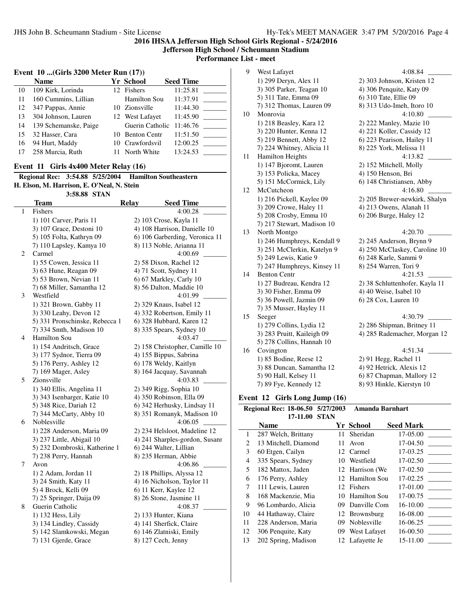**Jefferson High School / Scheumann Stadium**

**Performance List - meet**

 $\overline{\phantom{a}}$ 

# **Event 10 ...(Girls 3200 Meter Run (17))**

|    | <b>Name</b>           | <b>Yr School</b>         | <b>Seed Time</b> |
|----|-----------------------|--------------------------|------------------|
| 10 | 109 Kirk, Lorinda     | 12 Fishers               | 11:25.81         |
| 11 | 160 Cummins, Lillian  | Hamilton Sou             | 11:37.91         |
| 12 | 347 Pappas, Annie     | 10 Zionsville            | 11:44.30         |
| 13 | 304 Johnson, Lauren   | 12 West Lafayet          | 11:45.90         |
| 14 | 139 Schemanske, Paige | Guerin Catholic 11:46.76 |                  |
| 15 | 32 Hasser, Cara       | 10 Benton Centr          | 11:51.50         |
| 16 | 94 Hurt, Maddy        | 10 Crawfordsvil          | 12:00.25         |
| 17 | 258 Murcia, Ruth      | North White              | 13:24.53         |

## **Event 11 Girls 4x400 Meter Relay (16)**

|                                            |              | Regional Rec: 3:54.88 5/25/2004 Hamilton Southeastern |
|--------------------------------------------|--------------|-------------------------------------------------------|
| H. Elson, M. Harrison, E. O'Neal, N. Stein |              |                                                       |
|                                            | 3:58.88 STAN |                                                       |

|   | <b>Team</b>                    | <b>Relay</b> | <b>Seed Time</b>               |
|---|--------------------------------|--------------|--------------------------------|
| 1 | Fishers                        |              | 4:00.28                        |
|   | 1) 101 Carver, Paris 11        |              | 2) 103 Crose, Kayla 11         |
|   | 3) 107 Grace, Destoni 10       |              | 4) 108 Harrison, Danielle 10   |
|   | 5) 105 Folta, Kathryn 09       |              | 6) 106 Garberding, Veronica 11 |
|   | 7) 110 Lapsley, Kamya 10       |              | 8) 113 Noble, Arianna 11       |
| 2 | Carmel                         |              | 4:00.69                        |
|   | 1) 55 Cowen, Jessica 11        |              | 2) 58 Dixon, Rachel 12         |
|   | 3) 63 Hune, Reagan 09          |              | 4) 71 Scott, Sydney 11         |
|   | 5) 53 Brown, Nevian 11         |              | 6) 67 Markley, Carly 10        |
|   | 7) 68 Miller, Samantha 12      |              | 8) 56 Dalton, Maddie 10        |
| 3 | Westfield                      |              | 4:01.99                        |
|   | 1) 321 Brown, Gabby 11         |              | 2) 329 Knaus, Isabel 12        |
|   | 3) 330 Leahy, Devon 12         |              | 4) 332 Robertson, Emily 11     |
|   | 5) 331 Pronschinske, Rebecca 1 |              | 6) 328 Hubbard, Karen 12       |
|   | 7) 334 Smth, Madison 10        |              | 8) 335 Spears, Sydney 10       |
| 4 | Hamilton Sou                   |              | 4:03.47                        |
|   | 1) 154 Andritsch, Grace        |              | 2) 158 Christopher, Camille 10 |
|   | 3) 177 Sydnor, Tierra 09       |              | 4) 155 Bippus, Sabrina         |
|   | 5) 176 Perry, Ashley 12        |              | 6) 178 Weldy, Kaitlyn          |
|   | 7) 169 Mager, Asley            |              | 8) 164 Jacquay, Savannah       |
| 5 | Zionsville                     |              | 4:03.83                        |
|   | 1) 340 Ellis, Angelina 11      |              | 2) 349 Rigg, Sophia 10         |
|   | 3) 343 Isenbarger, Katie 10    |              | 4) 350 Robinson, Ella 09       |
|   | 5) 348 Rice, Dariah 12         |              | 6) 342 Herhusky, Lindsay 11    |
|   | 7) 344 McCarty, Abby 10        |              | 8) 351 Romanyk, Madison 10     |
| 6 | Noblesville                    |              | 4:06.05                        |
|   | 1) 228 Anderson, Maria 09      |              | 2) 234 Helsloot, Madeline 12   |
|   | 3) 237 Little, Abigail 10      |              | 4) 241 Sharples-gordon, Susanr |
|   | 5) 232 Dombroski, Katherine 11 |              | 6) 244 Walter, Lillian         |
|   | 7) 238 Perry, Hannah           |              | 8) 235 Herman, Abbie           |
| 7 | Avon                           |              | 4:06.86                        |
|   | 1) 2 Adam, Jordan 11           |              | 2) 18 Phillips, Alyssa 12      |
|   | 3) 24 Smith, Katy 11           |              | 4) 16 Nicholson, Taylor 11     |
|   | 5) 4 Brock, Kelli 09           |              | 6) 11 Kerr, Kaylee 12          |
|   | 7) 25 Springer, Daija 09       |              | 8) 26 Stone, Jasmine 11        |
| 8 | Guerin Catholic                |              | 4:08.37                        |
|   | 1) 132 Hess, Lily              |              | 2) 133 Hunter, Kiana           |
|   | 3) 134 Lindley, Cassidy        |              | 4) 141 Sherfick, Claire        |
|   | 5) 142 Slamkowski, Megan       |              | 6) 146 Zlatniski, Emily        |
|   | 7) 131 Gjerde, Grace           |              | 8) 127 Cech, Jenny             |
|   |                                |              |                                |
|   |                                |              |                                |

| 9  | West Lafayet                | 4:08.84                        |
|----|-----------------------------|--------------------------------|
|    | 1) 299 Deryn, Alex 11       | 2) 303 Johnson, Kristen 12     |
|    | 3) 305 Parker, Teagan 10    | 4) 306 Penquite, Katy 09       |
|    | 5) 311 Tate, Emma 09        | 6) 310 Tate, Ellie 09          |
|    | 7) 312 Thomas, Lauren 09    | 8) 313 Udo-Imeh, Itoro 10      |
| 10 | Monrovia                    | 4:10.80                        |
|    | 1) 218 Beasley, Kara 12     | 2) 222 Manley, Mazie 10        |
|    | 3) 220 Hunter, Kenna 12     | 4) 221 Koller, Cassidy 12      |
|    | 5) 219 Bennett, Abby 12     | 6) 223 Pearison, Hailey 11     |
|    | 7) 224 Whitney, Alicia 11   | 8) 225 York, Melissa 11        |
| 11 | <b>Hamilton Heights</b>     | 4:13.82                        |
|    | 1) 147 Bjoromt, Lauren      | 2) 152 Mitchell, Molly         |
|    | 3) 153 Policka, Macey       | 4) 150 Henson, Bri             |
|    | 5) 151 McCormick, Lily      | 6) 148 Christiansen, Abby      |
| 12 | McCutcheon                  | 4:16.80                        |
|    | 1) 216 Pickell, Kaylee 09   | 2) 205 Brewer-newkirk, Shalyn  |
|    | 3) 209 Crowe, Haley 11      | 4) 213 Owens, Alanah 11        |
|    | 5) 208 Crosby, Emma 10      | 6) 206 Burge, Haley 12         |
|    | 7) 217 Stewart, Madison 10  |                                |
| 13 | North Montgo                | 4:20.70                        |
|    | 1) 246 Humphreys, Kendall 9 | 2) 245 Anderson, Brynn 9       |
|    | 3) 251 McClerkin, Katelyn 9 | 4) 250 McClaskey, Caroline 10  |
|    | 5) 249 Lewis, Katie 9       | 6) 248 Karle, Sammi 9          |
|    | 7) 247 Humphreys, Kinsey 11 | 8) 254 Warren, Tori 9          |
| 14 | <b>Benton Centr</b>         | 4:21.53                        |
|    | 1) 27 Budreau, Kendra 12    | 2) 38 Schluttenhofer, Kayla 11 |
|    | 3) 30 Fisher, Emma 09       | 4) 40 Weise, Isabel 10         |
|    | 5) 36 Powell, Jazmin 09     | 6) 28 Cox, Lauren 10           |
|    | 7) 35 Musser, Hayley 11     |                                |
| 15 | Seeger                      | 4:30.79                        |
|    | 1) 279 Collins, Lydia 12    | 2) 286 Shipman, Britney 11     |
|    | 3) 283 Pruitt, Kaileigh 09  | 4) 285 Rademacher, Morgan 12   |
|    | 5) 278 Collins, Hannah 10   |                                |
| 16 | Covington                   | 4:51.34                        |
|    | 1) 85 Bodine, Reese 12      | $2)$ 91 Hegg, Rachel 11        |
|    | 3) 88 Duncan, Samantha 12   | 4) 92 Hetrick, Alexis 12       |
|    | 5) 90 Hall, Kelsey 11       | 6) 87 Chapman, Mallory 12      |
|    | 7) 89 Fye, Kennedy 12       | 8) 93 Hinkle, Kierstyn 10      |
|    |                             |                                |

# **Event 12 Girls Long Jump (16)**

|    | Regional Rec: 18-06.50 5/27/2003 |     | <b>Amanda Barnhart</b> |                  |
|----|----------------------------------|-----|------------------------|------------------|
|    | 17-11.00 STAN                    |     |                        |                  |
|    | <b>Name</b>                      |     | Yr School              | <b>Seed Mark</b> |
| 1  | 287 Welch, Brittany              | 11  | Sheridan               | 17-05.00         |
| 2  | 13 Mitchell, Diamond             | 11  | Avon                   | 17-04.50         |
| 3  | 60 Etgen, Cailyn                 |     | 12 Carmel              | 17-03.25         |
| 4  | 335 Spears, Sydney               |     | 10 Westfield           | 17-02.50         |
| 5  | 182 Mattox, Jaden                |     | 12 Harrison (We        | 17-02.50         |
| 6  | 176 Perry, Ashley                |     | 12 Hamilton Sou        | 17-02.25         |
| 7  | 111 Lewis, Lauren                |     | 12 Fishers             | 17-01.00         |
| 8  | 168 Mackenzie, Mia               | 10  | Hamilton Sou           | 17-00.75         |
| 9  | 96 Lombardo, Alicia              | 09. | Danville Com           | 16-10.00         |
| 10 | 44 Hathaway, Claire              |     | 12 Brownsburg          | 16-08.00         |
| 11 | 228 Anderson, Maria              | 09  | Noblesville            | 16-06.25         |
| 12 | 306 Penquite, Katy               |     | 09 West Lafayet        | 16-00.50         |
| 13 | 202 Spring, Madison              |     | 12 Lafavette Je        | 15-11.00         |